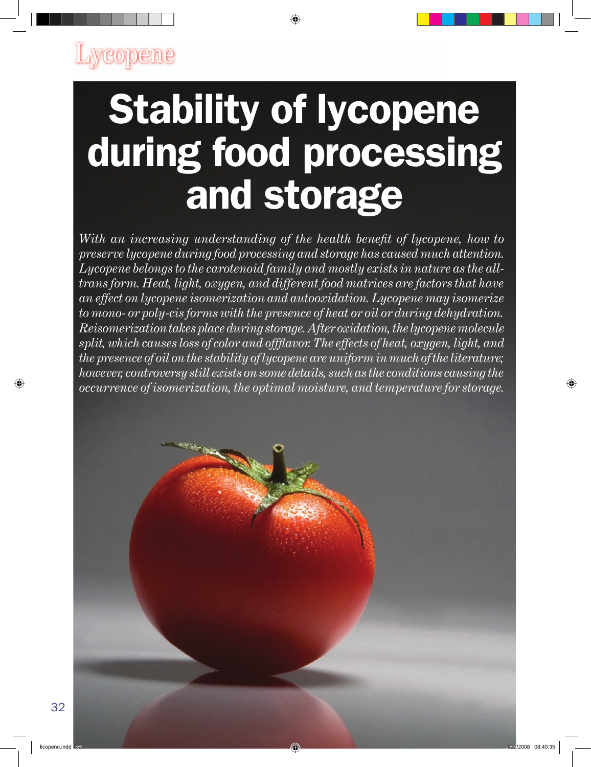

# **Stability of lycopene during food processing and storage**

*With an increasing understanding of the health benefit of lycopene, how to preserve lycopene during food processing and storage has caused much attention. Lycopene belongs to the carotenoid family and mostly exists in nature as the alltrans form. Heat, light, oxygen, and different food matrices are factors that have an effect on lycopene isomerization and autooxidation. Lycopene may isomerize to mono- or poly-cis forms with the presence of heat or oil or during dehydration. Reisomerization takes place during storage. After oxidation, the lycopene molecule split, which causes loss of color and offflavor. The effects of heat, oxygen, light, and the presence of oil on the stability of lycopene are uniform in much of the literature; however, controversy still exists on some details, such as the conditions causing the occurrence of isomerization, the optimal moisture, and temperature for storage.*

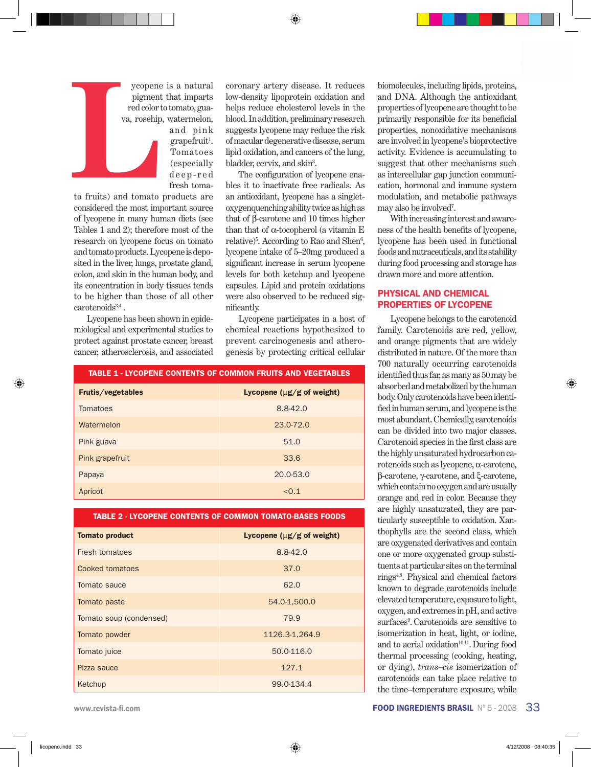ycopene is a natural pigment that imparts red color to tomato, guava, rosehip, watermelon, ycopene<br>
pigment<br>
red color t<br>
va, rosehip,<br>
va, rosehip,<br>
d<br>
to fruits) and tomato

and pink grapefruit<sup>1</sup>. Tomatoes (especially d e e p - r e d fresh toma-

to fruits) and tomato products are considered the most important source of lycopene in many human diets (see Tables 1 and 2); therefore most of the research on lycopene focus on tomato and tomato products. Lycopene is deposited in the liver, lungs, prostate gland, colon, and skin in the human body, and its concentration in body tissues tends to be higher than those of all other  $carotenoids<sup>3,4</sup>$ .

Lycopene has been shown in epidemiological and experimental studies to protect against prostate cancer, breast cancer, atherosclerosis, and associated

coronary artery disease. It reduces low-density lipoprotein oxidation and helps reduce cholesterol levels in the blood. In addition, preliminary research suggests lycopene may reduce the risk of macular degenerative disease, serum lipid oxidation, and cancers of the lung, bladder, cervix, and skin<sup>3</sup>.

The configuration of lycopene enables it to inactivate free radicals. As an antioxidant, lycopene has a singletoxygenquenching ability twice as high as that of β-carotene and 10 times higher than that of α-tocopherol (a vitamin E relative)<sup>5</sup>. According to Rao and Shen<sup>6</sup>, lycopene intake of 5–20mg produced a significant increase in serum lycopene levels for both ketchup and lycopene capsules. Lipid and protein oxidations were also observed to be reduced significantly.

Lycopene participates in a host of chemical reactions hypothesized to prevent carcinogenesis and atherogenesis by protecting critical cellular

## **TABLE 1 - LYCOPENE CONTENTS OF COMMON FRUITS AND VEGETABLES**

| <b>Frutis/vegetables</b> | Lycopene (µg/g of weight) |
|--------------------------|---------------------------|
| <b>Tomatoes</b>          | $8.8 - 42.0$              |
| Watermelon               | 23.0-72.0                 |
| Pink guava               | 51.0                      |
| Pink grapefruit          | 33.6                      |
| Papaya                   | 20.0-53.0                 |
| Apricot                  | < 0.1                     |

#### **TABLE 2 - LYCOPENE CONTENTS OF COMMON TOMATO-BASES FOODS**

| <b>Tomato product</b>   | Lycopene (µg/g of weight) |
|-------------------------|---------------------------|
| Fresh tomatoes          | 8.8-42.0                  |
| <b>Cooked tomatoes</b>  | 37.0                      |
| Tomato sauce            | 62.0                      |
| Tomato paste            | 54.0-1,500.0              |
| Tomato soup (condensed) | 79.9                      |
| Tomato powder           | 1126.3-1,264.9            |
| Tomato juice            | 50.0-116.0                |
| Pizza sauce             | 127.1                     |
| Ketchup                 | 99.0-134.4                |

biomolecules, including lipids, proteins, and DNA. Although the antioxidant properties of lycopene are thought to be primarily responsible for its beneficial properties, nonoxidative mechanisms are involved in lycopene's bioprotective activity. Evidence is accumulating to suggest that other mechanisms such as intercellular gap junction communication, hormonal and immune system modulation, and metabolic pathways may also be involved<sup>7</sup>.

With increasing interest and awareness of the health benefits of lycopene. lycopene has been used in functional foods and nutraceuticals, and its stability during food processing and storage has drawn more and more attention.

# **PHYSICAL AND CHEMICAL PROPERTIES OF LYCOPENE**

Lycopene belongs to the carotenoid family. Carotenoids are red, yellow, and orange pigments that are widely distributed in nature. Of the more than 700 naturally occurring carotenoids identified thus far, as many as 50 may be absorbed and metabolized by the human body. Only carotenoids have been identified in human serum, and lycopene is the most abundant. Chemically, carotenoids can be divided into two major classes. Carotenoid species in the first class are the highly unsaturated hydrocarbon carotenoids such as lycopene, α-carotene, β-carotene, γ-carotene, and ξ-carotene, which contain no oxygen and are usually orange and red in color. Because they are highly unsaturated, they are particularly susceptible to oxidation. Xanthophylls are the second class, which are oxygenated derivatives and contain one or more oxygenated group substituents at particular sites on the terminal rings4,8. Physical and chemical factors known to degrade carotenoids include elevated temperature, exposure to light, oxygen, and extremes in pH, and active surfaces<sup>9</sup>. Carotenoids are sensitive to isomerization in heat, light, or iodine, and to aerial oxidation $10,11$ . During food thermal processing (cooking, heating, or dying), *trans*–*cis* isomerization of carotenoids can take place relative to the time–temperature exposure, while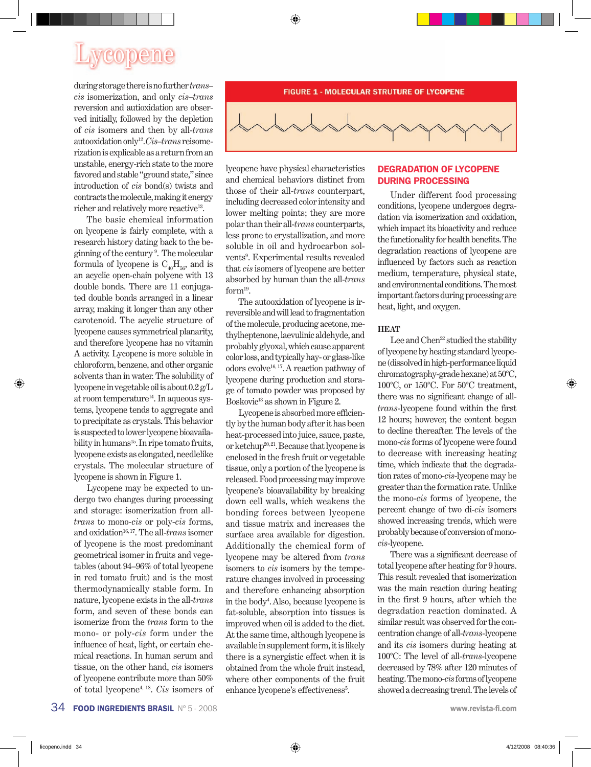

during storage there is no further *trans*– *cis* isomerization, and only *cis*–*trans* reversion and autioxidation are observed initially, followed by the depletion of *cis* isomers and then by all-*trans* autooxidation only12.*Cis*–*trans* reisomerization is explicable as a return from an unstable, energy-rich state to the more favored and stable "ground state," since introduction of *cis* bond(s) twists and contracts the molecule, making it energy richer and relatively more reactive13.

The basic chemical information on lycopene is fairly complete, with a research history dating back to the beginning of the century 9 . The molecular formula of lycopene is  $C_{40}H_{56}$ , and is an acyclic open-chain polyene with 13 double bonds. There are 11 conjugated double bonds arranged in a linear array, making it longer than any other carotenoid. The acyclic structure of lycopene causes symmetrical planarity, and therefore lycopene has no vitamin A activity. Lycopene is more soluble in chloroform, benzene, and other organic solvents than in water. The solubility of lycopene in vegetable oil is about 0.2 g/L at room temperature<sup>14</sup>. In aqueous systems, lycopene tends to aggregate and to precipitate as crystals. This behavior is suspected to lower lycopene bioavailability in humans<sup>15</sup>. In ripe tomato fruits, lycopene exists as elongated, needlelike crystals. The molecular structure of lycopene is shown in Figure 1.

Lycopene may be expected to undergo two changes during processing and storage: isomerization from all*trans* to mono-*cis* or poly-*cis* forms, and oxidation<sup>16, 17</sup>. The all-*trans* isomer of lycopene is the most predominant geometrical isomer in fruits and vegetables (about 94–96% of total lycopene in red tomato fruit) and is the most thermodynamically stable form. In nature, lycopene exists in the all-*trans* form, and seven of these bonds can isomerize from the *trans* form to the mono- or poly-*cis* form under the influence of heat, light, or certain chemical reactions. In human serum and tissue, on the other hand, *cis* isomers of lycopene contribute more than 50% of total lycopene4, 18. *Cis* isomers of

lycopene have physical characteristics and chemical behaviors distinct from those of their all-*trans* counterpart, including decreased color intensity and lower melting points; they are more polar than their all-*trans* counterparts, less prone to crystallization, and more soluble in oil and hydrocarbon solvents9 . Experimental results revealed that *cis* isomers of lycopene are better absorbed by human than the all-*trans*  $form<sup>19</sup>$ .

The autooxidation of lycopene is irreversible and will lead to fragmentation of the molecule, producing acetone, methylheptenone, laevulinic aldehyde, and probably glyoxal, which cause apparent color loss, and typically hay- or glass-like odors evolve16, 17.A reaction pathway of lycopene during production and storage of tomato powder was proposed by Boskovic<sup>13</sup> as shown in Figure 2.

Lycopene is absorbed more efficiently by the human body after it has been heat-processed into juice, sauce, paste, or ketchup<sup>20, 21</sup>. Because that lycopene is enclosed in the fresh fruit or vegetable tissue, only a portion of the lycopene is released. Food processing may improve lycopene's bioavailability by breaking down cell walls, which weakens the bonding forces between lycopene and tissue matrix and increases the surface area available for digestion. Additionally the chemical form of lycopene may be altered from *trans* isomers to *cis* isomers by the temperature changes involved in processing and therefore enhancing absorption in the body4 .Also, because lycopene is fat-soluble, absorption into tissues is improved when oil is added to the diet. At the same time, although lycopene is available in supplement form, it is likely there is a synergistic effect when it is obtained from the whole fruit instead, where other components of the fruit enhance lycopene's effectiveness<sup>5</sup>.

# **DEGRADATION OF LYCOPENE DURING PROCESSING**

Under different food processing conditions, lycopene undergoes degradation via isomerization and oxidation, which impact its bioactivity and reduce the functionality for health benefits. The degradation reactions of lycopene are influenced by factors such as reaction medium, temperature, physical state, and environmental conditions. The most important factors during processing are heat, light, and oxygen.

#### **HEAT**

**FIGURE 1 - MOLECULAR STRUTURE OF LYCOPENE** 

Lee and Chen<sup>22</sup> studied the stability of lycopene by heating standard lycopene (dissolved in high-performance liquid chromatography-grade hexane) at 50°C, 100°C, or 150°C. For 50°C treatment, there was no significant change of all*trans*-lycopene found within the first 12 hours; however, the content began to decline thereafter. The levels of the mono-*cis* forms of lycopene were found to decrease with increasing heating time, which indicate that the degradation rates of mono-*cis*-lycopene may be greater than the formation rate. Unlike the mono-*cis* forms of lycopene, the percent change of two di-*cis* isomers showed increasing trends, which were probably because of conversion of mono*cis*-lycopene.

There was a significant decrease of total lycopene after heating for 9 hours. This result revealed that isomerization was the main reaction during heating in the first 9 hours, after which the degradation reaction dominated. A similar result was observed for the concentration change of all-*trans*-lycopene and its *cis* isomers during heating at 100°C: The level of all-*trans*-lycopene decreased by 78% after 120 minutes of heating. The mono-*cis* forms of lycopene showed a decreasing trend. The levels of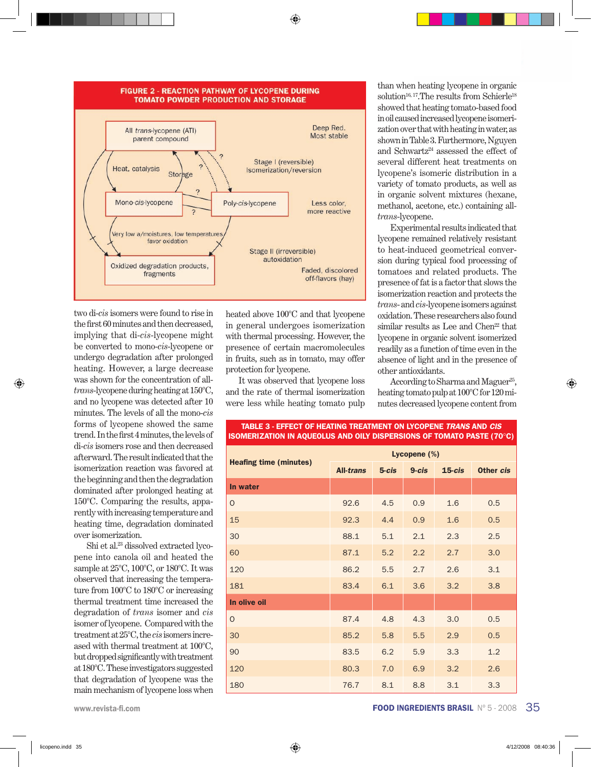

two di-*cis* isomers were found to rise in the first  $60$  minutes and then decreased. implying that di-*cis*-lycopene might be converted to mono-*cis*-lycopene or undergo degradation after prolonged heating. However, a large decrease was shown for the concentration of all*trans*-lycopene during heating at 150°C, and no lycopene was detected after 10 minutes. The levels of all the mono-*cis* forms of lycopene showed the same trend. In the first 4 minutes, the levels of di-*cis* isomers rose and then decreased afterward. The result indicated that the isomerization reaction was favored at the beginning and then the degradation dominated after prolonged heating at 150°C. Comparing the results, apparently with increasing temperature and heating time, degradation dominated over isomerization.

Shi et al.<sup>23</sup> dissolved extracted lycopene into canola oil and heated the sample at 25°C, 100°C, or 180°C. It was observed that increasing the temperature from 100°C to 180°C or increasing thermal treatment time increased the degradation of *trans* isomer and *cis* isomer of lycopene. Compared with the treatment at 25°C, the *cis* isomers increased with thermal treatment at 100°C, but dropped significantly with treatment at 180°C. These investigators suggested that degradation of lycopene was the main mechanism of lycopene loss when

heated above 100°C and that lycopene in general undergoes isomerization with thermal processing. However, the presence of certain macromolecules in fruits, such as in tomato, may offer protection for lycopene.

It was observed that lycopene loss and the rate of thermal isomerization were less while heating tomato pulp than when heating lycopene in organic solution<sup>16, 17</sup>. The results from Schierle<sup>18</sup> showed that heating tomato-based food in oil caused increased lycopene isomerization over that with heating in water, as shown in Table 3. Furthermore, Nguyen and Schwartz $24$  assessed the effect of several different heat treatments on lycopene's isomeric distribution in a variety of tomato products, as well as in organic solvent mixtures (hexane, methanol, acetone, etc.) containing all*trans*-lycopene.

Experimental results indicated that lycopene remained relatively resistant to heat-induced geometrical conversion during typical food processing of tomatoes and related products. The presence of fat is a factor that slows the isomerization reaction and protects the *trans*- and *cis*-lycopene isomers against oxidation. These researchers also found similar results as Lee and Chen<sup>22</sup> that lycopene in organic solvent isomerized readily as a function of time even in the absence of light and in the presence of other antioxidants.

According to Sharma and Maguer<sup>25</sup>, heating tomato pulp at 100°C for 120 minutes decreased lycopene content from

|                               | Lycopene (%)     |         |         |          |           |
|-------------------------------|------------------|---------|---------|----------|-----------|
| <b>Heafing time (minutes)</b> | <b>All-trans</b> | $5-cis$ | $9-cis$ | $15-cis$ | Other cis |
| In water                      |                  |         |         |          |           |
| $\circ$                       | 92.6             | 4.5     | 0.9     | 1.6      | 0.5       |
| 15                            | 92.3             | 4.4     | 0.9     | 1.6      | 0.5       |
| 30                            | 88.1             | 5.1     | 2.1     | 2.3      | 2.5       |
| 60                            | 87.1             | 5.2     | 2.2     | 2.7      | 3.0       |
| 120                           | 86.2             | 5.5     | 2.7     | 2.6      | 3.1       |
| 181                           | 83.4             | 6.1     | 3.6     | 3.2      | 3.8       |
| In olive oil                  |                  |         |         |          |           |
| $\circ$                       | 87.4             | 4.8     | 4.3     | 3.0      | 0.5       |
| 30                            | 85.2             | 5.8     | 5.5     | 2.9      | 0.5       |
| 90                            | 83.5             | 6.2     | 5.9     | 3.3      | 1.2       |
| 120                           | 80.3             | 7.0     | 6.9     | 3.2      | 2.6       |
| 180                           | 76.7             | 8.1     | 8.8     | 3.1      | 3.3       |

**TABLE 3 - EFFECT OF HEATING TREATMENT ON LYCOPENE** *TRANS* **AND** *CIS* **ISOMERIZATION IN AQUEOLUS AND OILY DISPERSIONS OF TOMATO PASTE (70**°**C)**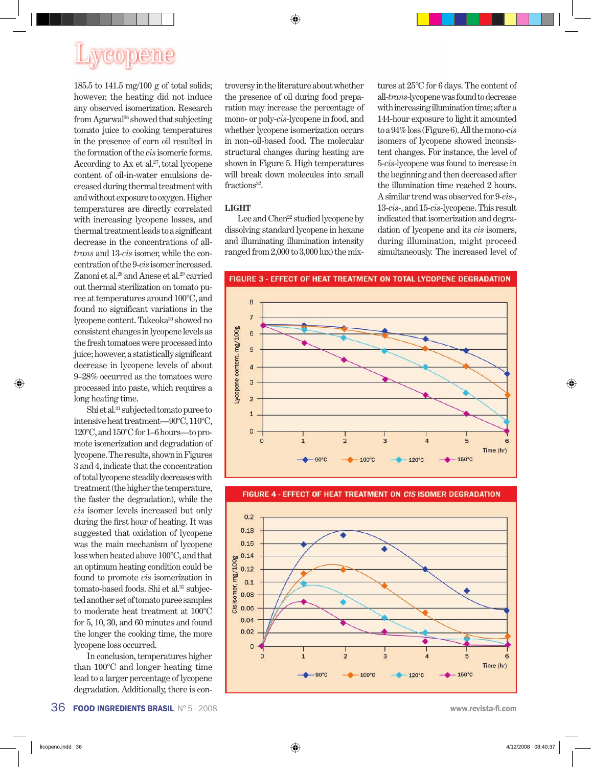

185.5 to 141.5 mg/100 g of total solids; however, the heating did not induce any observed isomerization. Research from Agarwal<sup>26</sup> showed that subjecting tomato juice to cooking temperatures in the presence of corn oil resulted in the formation of the *cis* isomeric forms. According to Ax et al.<sup>27</sup>, total lycopene content of oil-in-water emulsions decreased during thermal treatment with and without exposure to oxygen. Higher temperatures are directly correlated with increasing lycopene losses, and thermal treatment leads to a significant decrease in the concentrations of all*trans* and 13-*cis* isomer, while the concentration of the 9-*cis* isomer increased. Zanoni et al.<sup>28</sup> and Anese et al.<sup>29</sup> carried out thermal sterilization on tomato puree at temperatures around 100°C, and found no significant variations in the lycopene content. Takeoka<sup>30</sup> showed no consistent changes in lycopene levels as the fresh tomatoes were processed into juice; however, a statistically significant decrease in lycopene levels of about 9–28% occurred as the tomatoes were processed into paste, which requires a long heating time.

Shi et al.31 subjected tomato puree to intensive heat treatment—90°C, 110°C, 120°C, and 150°C for 1–6 hours—to promote isomerization and degradation of lycopene. The results, shown in Figures 3 and 4, indicate that the concentration of total lycopene steadily decreases with treatment (the higher the temperature, the faster the degradation), while the *cis* isomer levels increased but only during the first hour of heating. It was suggested that oxidation of lycopene was the main mechanism of lycopene loss when heated above 100°C, and that an optimum heating condition could be found to promote *cis* isomerization in tomato-based foods. Shi et al.<sup>31</sup> subjected another set of tomato puree samples to moderate heat treatment at 100°C for 5, 10, 30, and 60 minutes and found the longer the cooking time, the more lycopene loss occurred.

In conclusion, temperatures higher than 100°C and longer heating time lead to a larger percentage of lycopene degradation. Additionally, there is con-

troversy in the literature about whether the presence of oil during food preparation may increase the percentage of mono- or poly-*cis*-lycopene in food, and whether lycopene isomerization occurs in non–oil-based food. The molecular structural changes during heating are shown in Figure 5. High temperatures will break down molecules into small fractions<sup>32</sup>.

## **LIGHT**

Lee and Chen<sup>22</sup> studied lycopene by dissolving standard lycopene in hexane and illuminating illumination intensity ranged from 2,000 to 3,000 lux) the mixtures at 25°C for 6 days. The content of all-*trans*-lycopene was found to decrease with increasing illumination time; after a 144-hour exposure to light it amounted to a 94% loss (Figure 6). All the mono-*cis* isomers of lycopene showed inconsistent changes. For instance, the level of 5-*cis*-lycopene was found to increase in the beginning and then decreased after the illumination time reached 2 hours. A similar trend was observed for 9-*cis*-, 13-*cis*-, and 15-*cis*-lycopene. This result indicated that isomerization and degradation of lycopene and its *cis* isomers, during illumination, might proceed simultaneously. The increased level of



FIGURE 3 - EFFECT OF HEAT TREATMENT ON TOTAL LYCOPENE DEGRADATION

**FIGURE 4 - EFFECT OF HEAT TREATMENT ON CIS ISOMER DEGRADATION** 

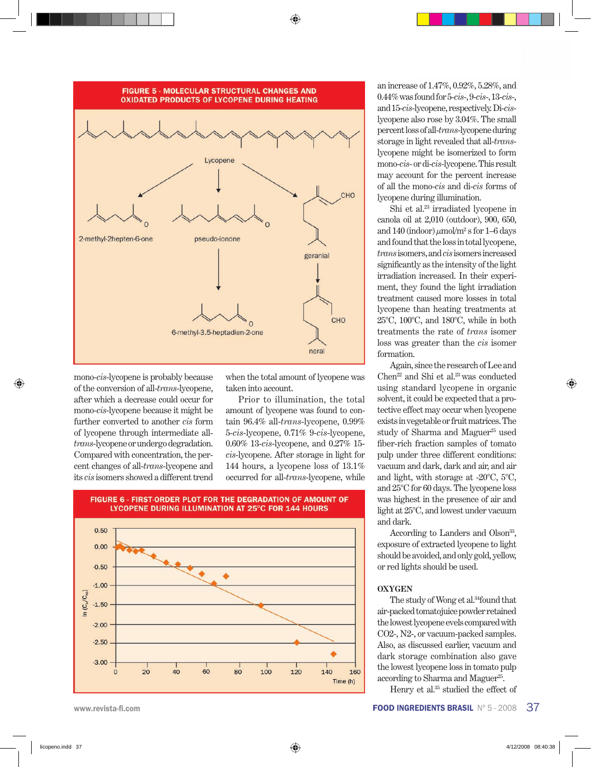

mono-*cis*-lycopene is probably because of the conversion of all-*trans*-lycopene, after which a decrease could occur for mono-*cis*-lycopene because it might be further converted to another *cis* form of lycopene through intermediate all*trans*-lycopene or undergo degradation. Compared with concentration, the percent changes of all-*trans*-lycopene and its *cis* isomers showed a different trend when the total amount of lycopene was taken into account.

Prior to illumination, the total amount of lycopene was found to contain 96.4% all-*trans*-lycopene, 0.99% 5-*cis*-lycopene, 0.71% 9-*cis*-lycopene, 0.60% 13-*cis*-lycopene, and 0.27% 15 *cis*-lycopene. After storage in light for 144 hours, a lycopene loss of 13.1% occurred for all-*trans*-lycopene, while



**FIGURE 6 - FIRST-ORDER PLOT FOR THE DEGRADATION OF AMOUNT OF LYCOPENE DURING ILLUMINATION AT 25°C FOR 144 HOURS** 

an increase of 1.47%, 0.92%, 5.28%, and 0.44% was found for 5-*cis*-, 9-*cis*-, 13-*cis*-, and 15-*cis*-lycopene, respectively. Di-*cis*lycopene also rose by 3.04%. The small percent loss of all-*trans*-lycopene during storage in light revealed that all-*trans*lycopene might be isomerized to form mono-*cis*- or di-*cis*-lycopene. This result may account for the percent increase of all the mono-*cis* and di-*cis* forms of lycopene during illumination.

Shi et al.23 irradiated lycopene in canola oil at 2,010 (outdoor), 900, 650, and 140 (indoor)  $\mu$ mol/m<sup>2</sup> s for 1–6 days and found that the loss in total lycopene, *trans* isomers, and *cis* isomers increased significantly as the intensity of the light irradiation increased. In their experiment, they found the light irradiation treatment caused more losses in total lycopene than heating treatments at 25°C, 100°C, and 180°C, while in both treatments the rate of *trans* isomer loss was greater than the *cis* isomer formation.

Again, since the research of Lee and Chen<sup>22</sup> and Shi et al.<sup>23</sup> was conducted using standard lycopene in organic solvent, it could be expected that a protective effect may occur when lycopene exists in vegetable or fruit matrices. The study of Sharma and Maguer<sup>25</sup> used fiber-rich fraction samples of tomato pulp under three different conditions: vacuum and dark, dark and air, and air and light, with storage at -20°C, 5°C, and 25°C for 60 days. The lycopene loss was highest in the presence of air and light at 25°C, and lowest under vacuum and dark.

According to Landers and Olson<sup>33</sup>, exposure of extracted lycopene to light should be avoided, and only gold, yellow, or red lights should be used.

# **OXYGEN**

The study of Wong et al.<sup>34</sup>found that air-packed tomatojuice powder retained the lowest lycopene evels compared with CO2-, N2-, or vacuum-packed samples. Also, as discussed earlier, vacuum and dark storage combination also gave the lowest lycopene loss in tomato pulp according to Sharma and Maguer<sup>25</sup>.

Henry et al.35 studied the effect of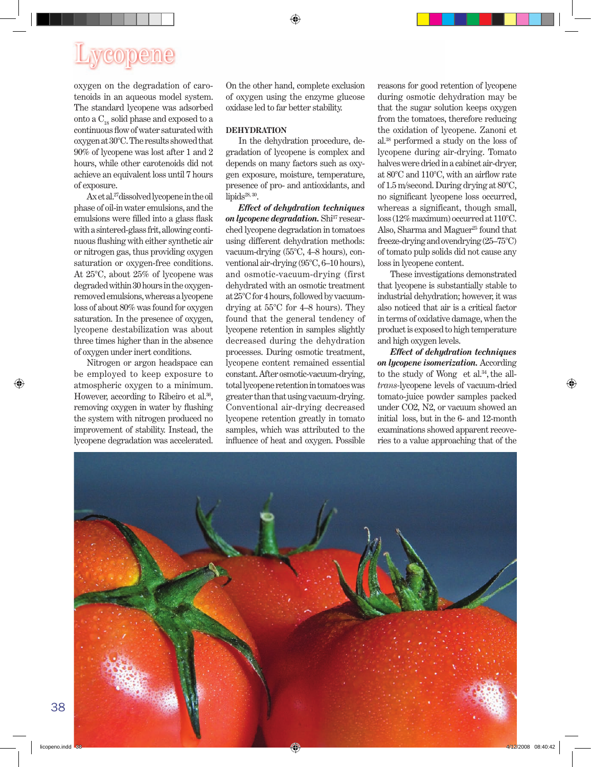

oxygen on the degradation of carotenoids in an aqueous model system. The standard lycopene was adsorbed onto a  $C_{18}$  solid phase and exposed to a continuous flow of water saturated with oxygen at 30°C. The results showed that 90% of lycopene was lost after 1 and 2 hours, while other carotenoids did not achieve an equivalent loss until 7 hours of exposure.

Ax et al.27dissolved lycopene in the oil phase of oil-in water emulsions, and the emulsions were filled into a glass flask with a sintered-glass frit, allowing continuous flushing with either synthetic air or nitrogen gas, thus providing oxygen saturation or oxygen-free conditions. At 25°C, about 25% of lycopene was degraded within 30 hours in the oxygenremoved emulsions, whereas a lycopene loss of about 80% was found for oxygen saturation. In the presence of oxygen, lycopene destabilization was about three times higher than in the absence of oxygen under inert conditions.

Nitrogen or argon headspace can be employed to keep exposure to atmospheric oxygen to a minimum. However, according to Ribeiro et al.<sup>36</sup>, removing oxygen in water by flushing the system with nitrogen produced no improvement of stability. Instead, the lycopene degradation was accelerated. On the other hand, complete exclusion of oxygen using the enzyme glucose oxidase led to far better stability.

### **DEHYDRATION**

In the dehydration procedure, degradation of lycopene is complex and depends on many factors such as oxygen exposure, moisture, temperature, presence of pro- and antioxidants, and  $\text{linids}^{28, 30}$ .

*Effect of dehydration techniques on lycopene degradation.* Shi37 researched lycopene degradation in tomatoes using different dehydration methods: vacuum-drying (55°C, 4–8 hours), conventional air-drying (95°C, 6–10 hours), and osmotic-vacuum-drying (first dehydrated with an osmotic treatment at 25°C for 4 hours, followed by vacuumdrying at 55°C for 4–8 hours). They found that the general tendency of lycopene retention in samples slightly decreased during the dehydration processes. During osmotic treatment, lycopene content remained essential constant. After osmotic-vacuum-drying, total lycopene retention in tomatoes was greater than that using vacuum-drying. Conventional air-drying decreased lycopene retention greatly in tomato samples, which was attributed to the influence of heat and oxygen. Possible reasons for good retention of lycopene during osmotic dehydration may be that the sugar solution keeps oxygen from the tomatoes, therefore reducing the oxidation of lycopene. Zanoni et al.38 performed a study on the loss of lycopene during air-drying. Tomato halves were dried in a cabinet air-dryer, at  $80^{\circ}$ C and  $110^{\circ}$ C, with an airflow rate of 1.5 m/second. During drying at 80°C, no significant lycopene loss occurred, whereas a significant, though small, loss (12% maximum) occurred at 110°C. Also, Sharma and Maguer<sup>25</sup> found that freeze-drying and ovendrying (25–75°C) of tomato pulp solids did not cause any loss in lycopene content.

These investigations demonstrated that lycopene is substantially stable to industrial dehydration; however, it was also noticed that air is a critical factor in terms of oxidative damage, when the product is exposed to high temperature and high oxygen levels.

*Effect of dehydration techniques on lycopene isomerization.* According to the study of Wong et al. $34$ , the all*trans-*lycopene levels of vacuum-dried tomato-juice powder samples packed under CO2, N2, or vacuum showed an initial loss, but in the 6- and 12-month examinations showed apparent recoveries to a value approaching that of the

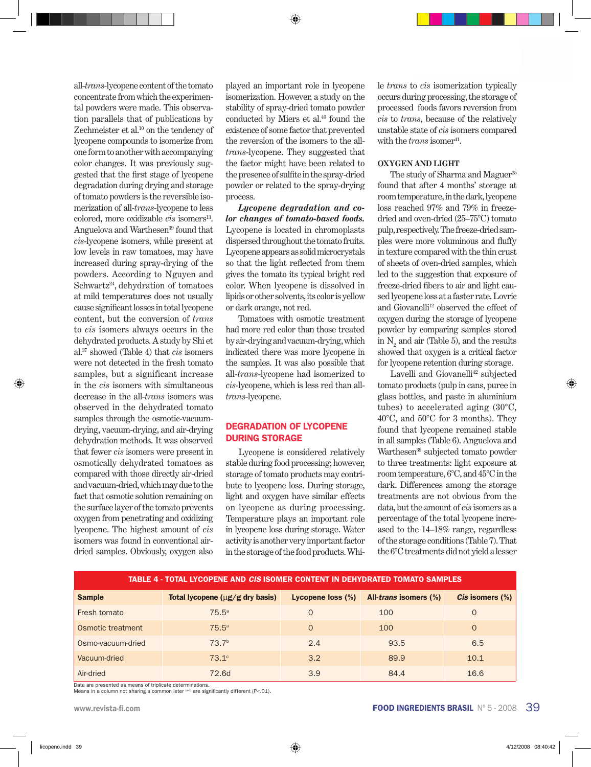all-*trans-*lycopene content of the tomato concentrate from which the experimental powders were made. This observation parallels that of publications by Zechmeister et al.<sup>10</sup> on the tendency of lycopene compounds to isomerize from one form to another with accompanying color changes. It was previously suggested that the first stage of lycopene degradation during drying and storage of tomato powders is the reversible isomerization of all-*trans*-lycopene to less colored, more oxidizable *cis* isomers<sup>13</sup>. Anguelova and Warthesen<sup>39</sup> found that *cis*-lycopene isomers, while present at low levels in raw tomatoes, may have increased during spray-drying of the powders. According to Nguyen and Schwartz $24$ , dehydration of tomatoes at mild temperatures does not usually cause significant losses in total lycopene content, but the conversion of *trans* to *cis* isomers always occurs in the dehydrated products. A study by Shi et al.37 showed (Table 4) that *cis* isomers were not detected in the fresh tomato samples, but a significant increase in the *cis* isomers with simultaneous decrease in the all-*trans* isomers was observed in the dehydrated tomato samples through the osmotic-vacuumdrying, vacuum-drying, and air-drying dehydration methods. It was observed that fewer *cis* isomers were present in osmotically dehydrated tomatoes as compared with those directly air-dried and vacuum-dried, which may due to the fact that osmotic solution remaining on the surface layer of the tomato prevents oxygen from penetrating and oxidizing lycopene. The highest amount of *cis* isomers was found in conventional airdried samples. Obviously, oxygen also

played an important role in lycopene isomerization. However, a study on the stability of spray-dried tomato powder conducted by Miers et al.<sup>40</sup> found the existence of some factor that prevented the reversion of the isomers to the all*trans*-lycopene. They suggested that the factor might have been related to the presence of sulfite in the spray-dried powder or related to the spray-drying process.

*Lycopene degradation and color changes of tomato-based foods.* Lycopene is located in chromoplasts dispersed throughout the tomato fruits. Lycopene appears as solid microcrystals so that the light reflected from them gives the tomato its typical bright red color. When lycopene is dissolved in lipids or other solvents, its color is yellow or dark orange, not red.

Tomatoes with osmotic treatment had more red color than those treated by air-drying and vacuum-drying, which indicated there was more lycopene in the samples. It was also possible that all-*trans*-lycopene had isomerized to *cis*-lycopene, which is less red than all*trans*-lycopene.

# **DEGRADATION OF LYCOPENE DURING STORAGE**

Lycopene is considered relatively stable during food processing; however, storage of tomato products may contribute to lycopene loss. During storage, light and oxygen have similar effects on lycopene as during processing. Temperature plays an important role in lycopene loss during storage. Water activity is another very important factor in the storage of the food products. While *trans* to *cis* isomerization typically occurs during processing, the storage of processed foods favors reversion from *cis* to *trans*, because of the relatively unstable state of *cis* isomers compared with the *trans* isomer<sup>41</sup>.

## **OXYGEN AND LIGHT**

The study of Sharma and Maguer<sup>25</sup> found that after 4 months' storage at room temperature, in the dark, lycopene loss reached 97% and 79% in freezedried and oven-dried (25–75°C) tomato pulp, respectively. The freeze-dried samples were more voluminous and fluffy in texture compared with the thin crust of sheets of oven-dried samples, which led to the suggestion that exposure of freeze-dried fibers to air and light caused lycopene loss at a faster rate. Lovric and Giovanelli<sup>12</sup> observed the effect of oxygen during the storage of lycopene powder by comparing samples stored in  $N_2$  and air (Table 5), and the results showed that oxygen is a critical factor for lycopene retention during storage.

Lavelli and Giovanelli<sup>42</sup> subjected tomato products (pulp in cans, puree in glass bottles, and paste in aluminium tubes) to accelerated aging (30°C, 40°C, and 50°C for 3 months). They found that lycopene remained stable in all samples (Table 6). Anguelova and Warthesen<sup>39</sup> subjected tomato powder to three treatments: light exposure at room temperature, 6°C, and 45°C in the dark. Differences among the storage treatments are not obvious from the data, but the amount of *cis* isomers as a percentage of the total lycopene increased to the 14–18% range, regardless of the storage conditions (Table 7). That the 6°C treatments did not yield a lesser

| TABLE 4 - TOTAL LYCOPENE AND <i>CIS</i> ISOMER CONTENT IN DEHYDRATED TOMATO SAMPLES |                                       |                   |                               |                    |  |
|-------------------------------------------------------------------------------------|---------------------------------------|-------------------|-------------------------------|--------------------|--|
| <b>Sample</b>                                                                       | Total lycopene ( $\mu$ g/g dry basis) | Lycopene loss (%) | All- <i>trans</i> isomers (%) | Cis isomers $(\%)$ |  |
| Fresh tomato                                                                        | $75.5^{\circ}$                        | $\Omega$          | 100                           | $\Omega$           |  |
| Osmotic treatment                                                                   | $75.5^{\circ}$                        | $\Omega$          | 100                           | $\Omega$           |  |
| Osmo-vacuum-dried                                                                   | 73.7 <sup>b</sup>                     | 2.4               | 93.5                          | 6.5                |  |
| Vacuum-dried                                                                        | $73.1^\circ$                          | 3.2               | 89.9                          | 10.1               |  |
| Air-dried                                                                           | 72.6d                                 | 3.9               | 84.4                          | 16.6               |  |

Data are presented as means of triplicate determinations.

Means in a column not sharing a common leter  $(ad)$  are significantly different (P<.01).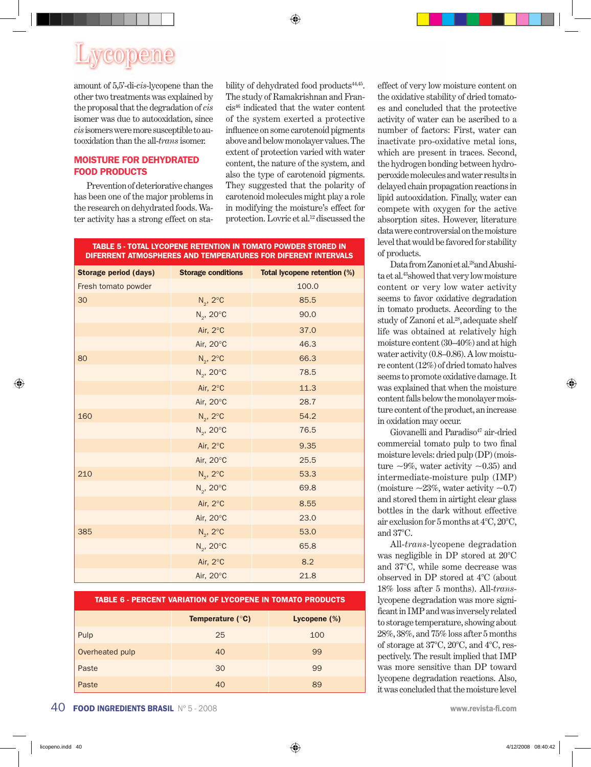

amount of 5,5'-di-*cis*-lycopene than the other two treatments was explained by the proposal that the degradation of *cis* isomer was due to autooxidation, since *cis* isomers were more susceptible to autooxidation than the all-*trans* isomer.

# **MOISTURE FOR DEHYDRATED FOOD PRODUCTS**

Prevention of deteriorative changes has been one of the major problems in the research on dehydrated foods. Water activity has a strong effect on stability of dehydrated food products<sup>44,45</sup>. The study of Ramakrishnan and Francis46 indicated that the water content of the system exerted a protective influence on some carotenoid pigments above and below monolayer values. The extent of protection varied with water content, the nature of the system, and also the type of carotenoid pigments. They suggested that the polarity of carotenoid molecules might play a role in modifying the moisture's effect for protection. Lovric et al.12 discussed the

### **TABLE 5 - TOTAL LYCOPENE RETENTION IN TOMATO POWDER STORED IN DIFERRENT ATMOSPHERES AND TEMPERATURES FOR DIFERENT INTERVALS**

| <b>Storage period (days)</b> | <b>Storage conditions</b>       | <b>Total lycopene retention (%)</b> |
|------------------------------|---------------------------------|-------------------------------------|
| Fresh tomato powder          |                                 | 100.0                               |
| 30                           | $N_2$ , 2°C                     | 85.5                                |
|                              | $N_2$ , 20 $\mathrm{C}$         | 90.0                                |
|                              | Air, 2°C                        | 37.0                                |
|                              | Air, 20°C                       | 46.3                                |
| 80                           | $N_2$ , 2°C                     | 66.3                                |
|                              | $N_2$ , 20 $\mathrm{^{\circ}C}$ | 78.5                                |
|                              | Air, 2°C                        | 11.3                                |
|                              | Air, 20°C                       | 28.7                                |
| 160                          | $N_2$ , 2°C                     | 54.2                                |
|                              | $N_2$ , 20 $°C$                 | 76.5                                |
|                              | Air, 2°C                        | 9.35                                |
|                              | Air, 20°C                       | 25.5                                |
| 210                          | $N_2$ , 2°C                     | 53.3                                |
|                              | $N_2$ , 20 $°C$                 | 69.8                                |
|                              | Air, 2°C                        | 8.55                                |
|                              | Air, 20°C                       | 23.0                                |
| 385                          | $N_2$ , 2°C                     | 53.0                                |
|                              | $N_2$ , 20 $\mathrm{^{\circ}C}$ | 65.8                                |
|                              | Air, 2°C                        | 8.2                                 |
|                              | Air, 20°C                       | 21.8                                |

| <b>TABLE 6 - PERCENT VARIATION OF LYCOPENE IN TOMATO PRODUCTS</b> |                                            |                 |  |  |
|-------------------------------------------------------------------|--------------------------------------------|-----------------|--|--|
|                                                                   | <b>Temperature (<math>\degree</math>C)</b> | Lycopene $(\%)$ |  |  |
| Pulp                                                              | 25                                         | 100             |  |  |
| Overheated pulp                                                   | 40                                         | 99              |  |  |
| Paste                                                             | 30                                         | 99              |  |  |
| Paste                                                             | 40                                         | 89              |  |  |

effect of very low moisture content on the oxidative stability of dried tomatoes and concluded that the protective activity of water can be ascribed to a number of factors: First, water can inactivate pro-oxidative metal ions, which are present in traces. Second, the hydrogen bonding between hydroperoxide molecules and water results in delayed chain propagation reactions in lipid autooxidation. Finally, water can compete with oxygen for the active absorption sites. However, literature data were controversial on the moisture level that would be favored for stability of products.

Data from Zanoni et al.28and Abushita et al.43showed that very low moisture content or very low water activity seems to favor oxidative degradation in tomato products. According to the study of Zanoni et al.<sup>28</sup>, adequate shelf life was obtained at relatively high moisture content (30–40%) and at high water activity (0.8–0.86). A low moisture content (12%) of dried tomato halves seems to promote oxidative damage. It was explained that when the moisture content falls below the monolayer moisture content of the product, an increase in oxidation may occur.

Giovanelli and Paradiso<sup>47</sup> air-dried commercial tomato pulp to two final moisture levels: dried pulp (DP) (moisture  $\sim 9\%$ , water activity  $\sim 0.35$ ) and intermediate-moisture pulp (IMP) (moisture  $\sim$ 23%, water activity  $\sim$ 0.7) and stored them in airtight clear glass bottles in the dark without effective air exclusion for 5 months at 4°C, 20°C, and 37°C.

All-*trans*-lycopene degradation was negligible in DP stored at 20°C and 37°C, while some decrease was observed in DP stored at 4°C (about 18% loss after 5 months). All-*trans*lycopene degradation was more significant in IMP and was inversely related to storage temperature, showing about 28%, 38%, and 75% loss after 5 months of storage at 37°C, 20°C, and 4°C, respectively. The result implied that IMP was more sensitive than DP toward lycopene degradation reactions. Also, it was concluded that the moisture level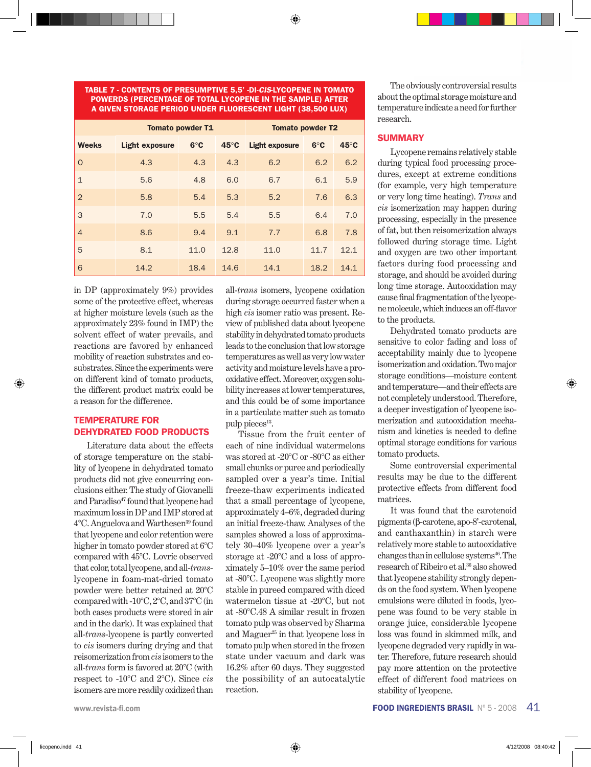#### **TABLE 7 - CONTENTS OF PRESUMPTIVE 5,5' -DI-***CIS***-LYCOPENE IN TOMATO POWERDS (PERCENTAGE OF TOTAL LYCOPENE IN THE SAMPLE) AFTER A GIVEN STORAGE PERIOD UNDER FLUORESCENT LIGHT (38,500 LUX)**

| <b>Tomato powder T1</b> |                       |               | <b>Tomato powder T2</b> |                       |               |              |
|-------------------------|-----------------------|---------------|-------------------------|-----------------------|---------------|--------------|
| <b>Weeks</b>            | <b>Light exposure</b> | $6^{\circ}$ C | $45^\circ C$            | <b>Light exposure</b> | $6^{\circ}$ C | $45^\circ C$ |
| $\Omega$                | 4,3                   | 4.3           | 4.3                     | 6.2                   | 6.2           | 6.2          |
| $\mathbf{1}$            | 5.6                   | 4.8           | 6.0                     | 6.7                   | 6.1           | 5.9          |
| $\overline{2}$          | 5.8                   | 5.4           | 5.3                     | 5.2                   | 7.6           | 6.3          |
| 3                       | 7.0                   | 5.5           | 5.4                     | 5.5                   | 6.4           | 7.0          |
| $\overline{4}$          | 8.6                   | 9.4           | 9.1                     | 7.7                   | 6.8           | 7.8          |
| 5                       | 8.1                   | 11.0          | 12.8                    | 11.0                  | 11.7          | 12.1         |
| 6                       | 14.2                  | 18.4          | 14.6                    | 14.1                  | 18.2          | 14.1         |

in DP (approximately 9%) provides some of the protective effect, whereas at higher moisture levels (such as the approximately 23% found in IMP) the solvent effect of water prevails, and reactions are favored by enhanced mobility of reaction substrates and cosubstrates. Since the experiments were on different kind of tomato products, the different product matrix could be a reason for the difference.

# **TEMPERATURE FOR DEHYDRATED FOOD PRODUCTS**

Literature data about the effects of storage temperature on the stability of lycopene in dehydrated tomato products did not give concurring conclusions either. The study of Giovanelli and Paradiso<sup>47</sup> found that lycopene had maximum loss in DP and IMP stored at 4°C. Anguelova and Warthesen<sup>39</sup> found that lycopene and color retention were higher in tomato powder stored at 6°C compared with 45°C. Lovric observed that color, total lycopene, and all-*trans*lycopene in foam-mat-dried tomato powder were better retained at 20°C compared with -10°C, 2°C, and 37°C (in both cases products were stored in air and in the dark). It was explained that all-*trans*-lycopene is partly converted to *cis* isomers during drying and that reisomerization from *cis* isomers to the all-*trans* form is favored at 20°C (with respect to -10°C and 2°C). Since *cis* isomers are more readily oxidized than

all-*trans* isomers, lycopene oxidation during storage occurred faster when a high *cis* isomer ratio was present. Review of published data about lycopene stability in dehydrated tomato products leads to the conclusion that low storage temperatures as well as very low water activity and moisture levels have a prooxidative effect. Moreover, oxygen solubility increases at lower temperatures, and this could be of some importance in a particulate matter such as tomato pulp pieces<sup>13</sup>.

Tissue from the fruit center of each of nine individual watermelons was stored at -20°C or -80°C as either small chunks or puree and periodically sampled over a year's time. Initial freeze-thaw experiments indicated that a small percentage of lycopene, approximately 4–6%, degraded during an initial freeze-thaw. Analyses of the samples showed a loss of approximately 30–40% lycopene over a year's storage at -20°C and a loss of approximately 5–10% over the same period at -80°C. Lycopene was slightly more stable in pureed compared with diced watermelon tissue at -20°C, but not at -80°C.48 A similar result in frozen tomato pulp was observed by Sharma and Maguer<sup>25</sup> in that lycopene loss in tomato pulp when stored in the frozen state under vacuum and dark was 16.2% after 60 days. They suggested the possibility of an autocatalytic reaction.

The obviously controversial results about the optimal storage moisture and temperature indicate a need for further research.

# **SUMMARY**

Lycopene remains relatively stable during typical food processing procedures, except at extreme conditions (for example, very high temperature or very long time heating). *Trans* and *cis* isomerization may happen during processing, especially in the presence of fat, but then reisomerization always followed during storage time. Light and oxygen are two other important factors during food processing and storage, and should be avoided during long time storage. Autooxidation may cause final fragmentation of the lycopene molecule, which induces an off-flavor to the products.

Dehydrated tomato products are sensitive to color fading and loss of acceptability mainly due to lycopene isomerization and oxidation. Two major storage conditions—moisture content and temperature—and their effects are not completely understood. Therefore, a deeper investigation of lycopene isomerization and autooxidation mechanism and kinetics is needed to define optimal storage conditions for various tomato products.

Some controversial experimental results may be due to the different protective effects from different food matrices.

It was found that the carotenoid pigments (β-carotene, apo-8'-carotenal, and canthaxanthin) in starch were relatively more stable to autooxidative  $changes than in cellulose systems<sup>46</sup>. The$ research of Ribeiro et al.36 also showed that lycopene stability strongly depends on the food system. When lycopene emulsions were diluted in foods, lycopene was found to be very stable in orange juice, considerable lycopene loss was found in skimmed milk, and lycopene degraded very rapidly in water. Therefore, future research should pay more attention on the protective effect of different food matrices on stability of lycopene.